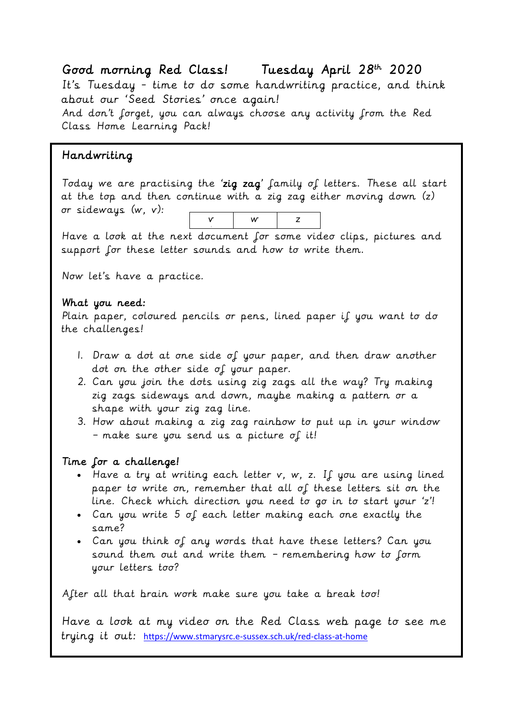#### Good morning Red Class! Tuesday April 28<sup>th</sup> 2020

It's Tuesday - time to do some handwriting practice, and think about our 'Seed Stories' once again!

And don't forget, you can always choose any activity from the Red Class Home Learning Pack!

### Handwriting

Today we are practising the 'zig zag' family of letters. These all start at the top and then continue with a zig zag either moving down (z) or sideways (w, v):  $w \mid z$ 

v

Have a look at the next document for some video clips, pictures and support for these letter sounds and how to write them.

Now let's have a practice.

#### What you need:

Plain paper, coloured pencils or pens, lined paper if you want to do the challenges!

- 1. Draw a dot at one side of your paper, and then draw another dot on the other side of your paper.
- 2. Can you join the dots using zig zags all the way? Try making zig zags sideways and down, maybe making a pattern or a shape with your zig zag line.
- 3. How about making a zig zag rainbow to put up in your window – make sure you send us a picture of it!

#### Time for a challenge!

- Have a try at writing each letter v, w, z. If you are using lined paper to write on, remember that all of these letters sit on the line. Check which direction you need to go in to start your 'z'!
- Can you write 5 of each letter making each one exactly the same?
- Can you think of any words that have these letters? Can you sound them out and write them – remembering how to form your letters too?

After all that brain work make sure you take a break too!

Have a look at my video on the Red Class web page to see me trying it out: <https://www.stmarysrc.e-sussex.sch.uk/red-class-at-home>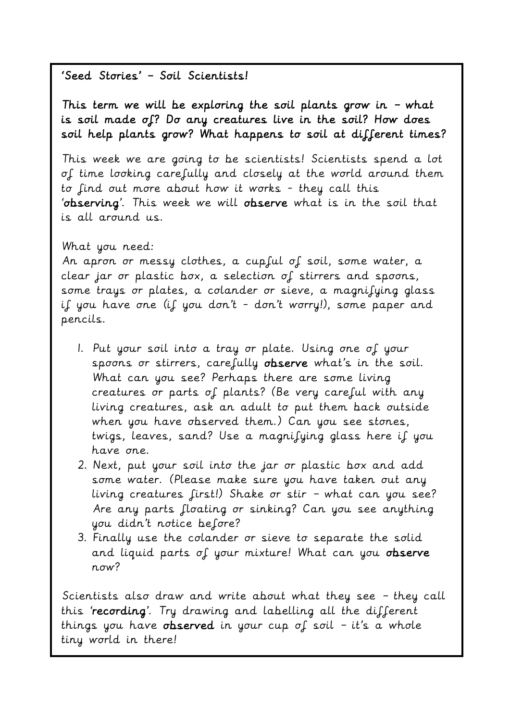# 'Seed Stories' – Soil Scientists!

This term we will be exploring the soil plants grow in  $-$  what is soil made of? Do any creatures live in the soil? How does soil help plants grow? What happens to soil at different times?

This week we are going to be scientists! Scientists spend a lot of time looking carefully and closely at the world around them to find out more about how it works - they call this 'observing'. This week we will observe what is in the soil that is all around us.

#### What you need:

An apron or messy clothes, a cupful of soil, some water, a clear jar or plastic box, a selection of stirrers and spoons, some trays or plates, a colander or sieve, a magnifying glass if you have one (if you don't - don't worry!), some paper and pencils.

- 1. Put your soil into a tray or plate. Using one of your spoons or stirrers, carefully observe what's in the soil. What can you see? Perhaps there are some living creatures or parts of plants? (Be very careful with any living creatures, ask an adult to put them back outside when you have observed them.) Can you see stones, twigs, leaves, sand? Use a magnifying glass here if you have one.
- 2. Next, put your soil into the jar or plastic box and add some water. (Please make sure you have taken out any living creatures first!) Shake or stir – what can you see? Are any parts floating or sinking? Can you see anything you didn't notice before?
- 3. Finally use the colander or sieve to separate the solid and liquid parts of your mixture! What can you observe now?

Scientists also draw and write about what they see – they call this 'recording'. Try drawing and labelling all the different things you have observed in your cup of soil - it's a whole tiny world in there!